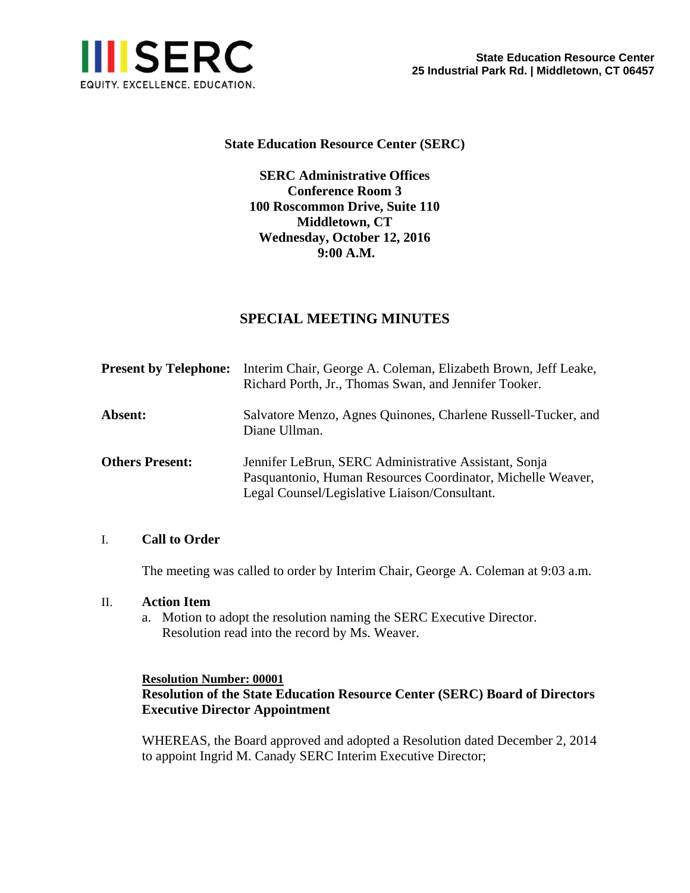

# **State Education Resource Center (SERC)**

**SERC Administrative Offices Conference Room 3 100 Roscommon Drive, Suite 110 Middletown, CT Wednesday, October 12, 2016 9:00 A.M.** 

# **SPECIAL MEETING MINUTES**

| <b>Present by Telephone:</b> | Interim Chair, George A. Coleman, Elizabeth Brown, Jeff Leake,<br>Richard Porth, Jr., Thomas Swan, and Jennifer Tooker.                                               |
|------------------------------|-----------------------------------------------------------------------------------------------------------------------------------------------------------------------|
| Absent:                      | Salvatore Menzo, Agnes Quinones, Charlene Russell-Tucker, and<br>Diane Ullman.                                                                                        |
| <b>Others Present:</b>       | Jennifer LeBrun, SERC Administrative Assistant, Sonja<br>Pasquantonio, Human Resources Coordinator, Michelle Weaver,<br>Legal Counsel/Legislative Liaison/Consultant. |

# I. **Call to Order**

The meeting was called to order by Interim Chair, George A. Coleman at 9:03 a.m.

#### II. **Action Item**

a. Motion to adopt the resolution naming the SERC Executive Director. Resolution read into the record by Ms. Weaver.

# **Resolution Number: 00001 Resolution of the State Education Resource Center (SERC) Board of Directors Executive Director Appointment**

WHEREAS, the Board approved and adopted a Resolution dated December 2, 2014 to appoint Ingrid M. Canady SERC Interim Executive Director;